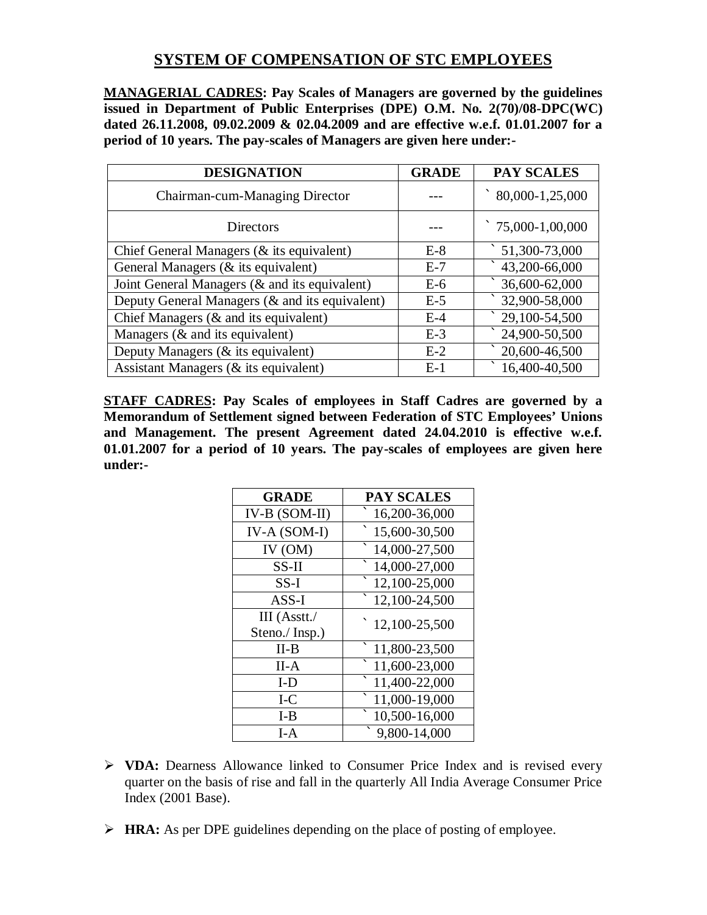## **SYSTEM OF COMPENSATION OF STC EMPLOYEES**

**MANAGERIAL CADRES: Pay Scales of Managers are governed by the guidelines issued in Department of Public Enterprises (DPE) O.M. No. 2(70)/08-DPC(WC) dated 26.11.2008, 09.02.2009 & 02.04.2009 and are effective w.e.f. 01.01.2007 for a period of 10 years. The pay-scales of Managers are given here under:-**

| <b>DESIGNATION</b>                             | <b>GRADE</b> | <b>PAY SCALES</b>      |
|------------------------------------------------|--------------|------------------------|
| Chairman-cum-Managing Director                 |              | 80,000-1,25,000        |
| <b>Directors</b>                               |              | 75,000-1,00,000        |
| Chief General Managers (& its equivalent)      | $E-8$        | $\hat{51,300}$ -73,000 |
| General Managers (& its equivalent)            | $E-7$        | 43,200-66,000          |
| Joint General Managers (& and its equivalent)  | $E-6$        | 36,600-62,000          |
| Deputy General Managers (& and its equivalent) | $E-5$        | 32,900-58,000          |
| Chief Managers $(\&$ and its equivalent)       | $E-4$        | 29,100-54,500          |
| Managers $(\&$ and its equivalent)             | $E-3$        | 24,900-50,500          |
| Deputy Managers (& its equivalent)             | $E-2$        | 20,600-46,500          |
| Assistant Managers (& its equivalent)          | $E-1$        | 16,400-40,500          |

**STAFF CADRES: Pay Scales of employees in Staff Cadres are governed by a Memorandum of Settlement signed between Federation of STC Employees' Unions and Management. The present Agreement dated 24.04.2010 is effective w.e.f. 01.01.2007 for a period of 10 years. The pay-scales of employees are given here under:-**

| <b>GRADE</b>  | <b>PAY SCALES</b> |
|---------------|-------------------|
| IV-B (SOM-II) | 16,200-36,000     |
| IV-A (SOM-I)  | 15,600-30,500     |
| IV (OM)       | 14,000-27,500     |
| $SS-II$       | 14,000-27,000     |
| $SS-I$        | 12,100-25,000     |
| $ASS-I$       | 12,100-24,500     |
| III (Asstt./  | 12,100-25,500     |
| Steno./Insp.) |                   |
| $II-B$        | 11,800-23,500     |
| II-A          | 11,600-23,000     |
| $I-D$         | 11,400-22,000     |
| $I-C$         | 11,000-19,000     |
| $I-B$         | 10,500-16,000     |
| $I-A$         | 9,800-14,000      |

- **VDA:** Dearness Allowance linked to Consumer Price Index and is revised every quarter on the basis of rise and fall in the quarterly All India Average Consumer Price Index (2001 Base).
- **HRA:** As per DPE guidelines depending on the place of posting of employee.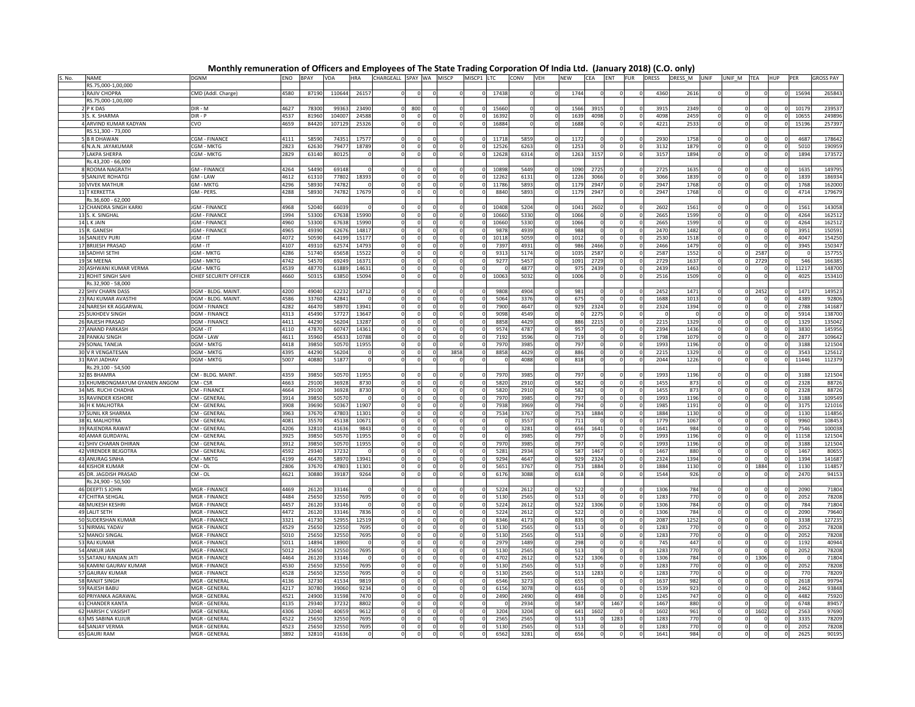Monthly remuneration of Officers and Employees of The State Trading Corporation Of India Ltd. (January 2018) (C.O. only)

| S. No. | <b>NAME</b>                                | <b>DGNM</b>                                  | ENO          | <b>BPAY</b> | VDA            | <b>HRA</b> | CHARGEALL SPAY WA MISCP |          |          | MISCP1 LTC |       | CONV         | VEH | <b>NEW</b>  | <b>CEA</b> | ENT  | <b>FUR</b> | $\cdots$<br><b>DRESS</b> | DRESS M      | UNIF | UNIF M TEA |      | <b>HUP</b> | PER          | <b>GROSS PAY</b> |
|--------|--------------------------------------------|----------------------------------------------|--------------|-------------|----------------|------------|-------------------------|----------|----------|------------|-------|--------------|-----|-------------|------------|------|------------|--------------------------|--------------|------|------------|------|------------|--------------|------------------|
|        | RS.75,000-1,00,000                         |                                              |              |             |                |            |                         |          |          |            |       |              |     |             |            |      |            |                          |              |      |            |      |            |              |                  |
|        | RAJIV CHOPRA                               | CMD (Addl. Charge)                           | 4580         | 87190       | 110644         | 2615       |                         |          |          |            | 17438 |              |     | 1744        |            |      |            | 4360                     | 2616         |      |            |      |            | 15694        | 265843           |
|        | RS.75,000-1,00,000                         |                                              |              |             |                |            |                         |          |          |            |       |              |     |             |            |      |            |                          |              |      |            |      |            |              |                  |
|        | 2 P K DAS                                  | DIR - M                                      | 4627         | 78300       | 9936           | 23490      |                         | 800      |          |            | 15660 |              |     | 1566        | 3915       |      |            | 391                      | 2349         |      |            |      |            | 1017         | 239537           |
|        | .K. SHARMA                                 | DIR - P                                      | 1537         | 8196        | 10400          | 24588      |                         |          |          |            | 1639  |              |     | 1639        | 4098       |      |            | 409                      | 2459         |      |            |      |            | 1065         | 24989            |
|        | 4 ARVIND KUMAR KADYAN                      | CVO                                          | 4659         | 84420       | 107129         | 25326      |                         |          |          |            | 16884 |              |     | 1688        |            |      |            | 4221                     | 2533         |      |            |      |            | 15196        | 257397           |
|        | RS.51,300 - 73,000                         |                                              |              |             |                |            |                         |          |          |            |       |              |     |             |            |      |            |                          |              |      |            |      |            |              |                  |
|        | <b>B R DHAWAN</b>                          | CGM - FINANCE                                | 4111         | 5859        | 7435           | 1757       |                         |          |          |            | 11718 | 5859         |     | 1172        |            |      |            | 2930                     | 1758         |      |            |      |            | 4687         | 178642           |
|        | 6 N.A.N. JAYAKUMAR                         | CGM - MKTG                                   | 2823         | 6263        | 7947           | 18789      |                         |          |          |            | 12526 | 6263         |     | 1253        |            |      |            | 3132                     | 1879         |      |            |      |            | 5010         | 19095            |
|        | <b>LAKPA SHERPA</b>                        | CGM - MKTG                                   | 2829         | 63140       | 80125          |            |                         |          |          |            | 12628 | 6314         |     | 1263        | 3157       |      |            | 3157                     | 1894         |      |            |      |            | 1894         | 173572           |
|        | Rs.43.200 - 66.000                         |                                              |              |             |                |            |                         |          |          |            |       |              |     |             |            |      |            |                          |              |      |            |      |            |              |                  |
|        | 8 ROOMA NAGRATH                            | <b>GM - FINANCE</b>                          | 4264         | 54490       | 69148          |            |                         |          |          |            | 10898 | 5449         |     | 1090        | 2725       |      |            | 2725                     | 1635         |      |            |      |            | 1635         | 149795           |
|        | 9 SANJIVE ROHATGI                          | $GM - LAW$                                   | 4612         | 61310       | 77802          | 18393      |                         |          |          |            | 12262 | 6131         |     | 1226        | 3066       |      |            | 3066                     | 1839         |      |            |      |            | 1839         | 186934           |
|        | 10 VIVEK MATHUR                            | <b>GM - MKTG</b>                             | 4296         | 58930       | 74782          |            |                         |          |          | $\Omega$   | 11786 | 5893         |     | 1179        | 2947       |      |            | 2947                     | 1768         |      |            |      |            | 1768         | 162000           |
|        | 11 T KERKETTA                              | GM - PERS.                                   | 4288         | 58930       | 74782          | 17679      |                         |          |          |            | 8840  | 5893         |     | 1179        | 2947       |      |            | 2947                     | 1768         |      |            |      |            | 4714         | 179679           |
|        | Rs.36,600 - 62,000                         |                                              |              |             |                |            |                         |          |          |            |       |              |     |             |            |      |            |                          |              |      |            |      |            |              |                  |
|        | 12 CHANDRA SINGH KARKI                     | <b>IGM - FINANCE</b>                         | 4968         | 52040       | 66039          |            |                         |          |          |            | 1040  |              |     | 1041        |            |      |            | 2602                     | 1561         |      |            |      |            | 1561         | 143058           |
|        |                                            |                                              | 1994         | 53300       |                | 1599       |                         |          |          |            | 1066  | 5204         |     | 1066        | 2602       |      |            | 266                      | 1599         |      |            |      |            | 4264         |                  |
|        | 13 S. K. SINGHAL<br>14 L K JAIN            | <b>JGM - FINANCE</b><br><b>JGM - FINANCI</b> | 4960         | 53300       | 67638<br>67638 | 15990      |                         |          |          |            | 10660 | 5330         |     | 1066        |            |      |            | 2665                     | 1599         |      |            |      |            | 4264         | 162512           |
|        |                                            |                                              |              |             |                |            |                         |          |          |            |       | 5330         |     |             |            |      |            |                          |              |      |            |      |            |              | 162512           |
|        | 15 R. GANESH                               | <b>JGM - FINANCE</b>                         | 4965         | 4939        | 62676          | 14817      |                         |          |          | $\Omega$   | 9878  | 4939         |     | 988         |            |      |            | 2470                     | 1482         |      |            |      |            | 3951         | 150591           |
|        | 16 SANJEEV PUR<br><b>17 BRIJESH PRASAD</b> | JGM - IT                                     | 4072         | 50590       | 64199          | 15177      |                         |          |          |            | 10118 | 5059         |     | 1012<br>986 | 2466       |      | $\Omega$   | 2530<br>2466             | 1518<br>1479 |      |            |      |            | 4047<br>3945 | 154250           |
|        |                                            | JGM - IT                                     | 4107         | 49310       | 62574          | 14793      |                         |          |          |            | 7397  | 4931         |     |             | 2587       |      |            |                          |              |      |            | 2587 |            |              | 150347           |
|        | 18 SADHVI SETHI                            | JGM - MKTG<br>JGM - MKTG                     | 4286<br>4742 | 51740       | 65658          | 15522      |                         |          |          | $\Omega$   | 9313  | 5174         |     | 1035        |            |      |            | 2587                     | 1552         |      |            | 2729 |            | 546          | 157755           |
|        | 19 SK MEENA                                |                                              | 4539         | 5457        | 69249          | 16371      |                         |          |          |            | 9277  | 5457<br>4877 |     | 1091        | 2729       |      |            | 2729                     | 1637         |      |            |      |            |              | 166385           |
|        | 20 ASHWANI KUMAR VERMA                     | JGM - MKTG                                   |              | 48770       | 61889          | 14631      |                         |          |          |            |       |              |     | 975         | 2439       |      |            | 2439                     | 1463         |      |            |      |            | 11217        | 148700           |
|        | 21 ROHIT SINGH SAHI<br>Rs.32,900 - 58,000  | CHIEF SECURITY OFFICER                       | 4660         | 50315       | 63850          | 15094      |                         |          |          |            | 10063 | 5032         |     | 1006        |            |      |            | 2516                     | 1509         |      |            |      |            | 4025         | 153410           |
|        |                                            |                                              |              |             |                |            |                         |          |          |            |       |              |     |             |            |      |            |                          |              |      |            |      |            |              |                  |
|        | 22 SHIV CHARN DASS                         | DGM - BLDG. MAINT                            | 4200         | 49040       | 62232          | 14712      |                         |          |          |            | 9808  | 4904         |     | 981         |            |      |            | 2452                     | 1471         |      |            | 245  |            | 1471         | 14952            |
|        | 23 RAJ KUMAR AVASTHI                       | DGM - BLDG. MAINT                            | 4586         | 33760       | 42841          |            |                         |          |          |            | 5064  | 3376         |     | 675         |            |      |            | 1688                     | 1013         |      |            |      |            | 4389         | 92806            |
|        | 24 NARESH KR AGGARWAL                      | <b>DGM - FINANCE</b>                         | 4282         | 4647        | 58970          | 13941      |                         |          |          |            | 7900  | 4647         |     | 929         | 2324       |      |            | 2324                     | 1394         |      |            |      |            | 2788         | 141687           |
|        | 25 SUKHDEV SINGH                           | <b>DGM - FINANCE</b>                         | 4313         | 4549        | 57727          | 13647      |                         | $\Omega$ |          |            | 9098  | 4549         |     |             | 227        |      |            |                          |              |      |            |      |            | 5914         | 138700           |
|        | 26 RAJESH PRASAD                           | DGM - FINANCE                                | 4411         | 4429        | 56204          | 13287      |                         |          |          |            | 8858  | 4429         |     | 886         | 221        |      |            | 2215                     | 1329         |      |            |      |            | 1329         | 135042           |
|        | 27 ANAND PARKASH                           | DGM - IT                                     | 4110         | 4787        | 60747          | 14361      |                         |          |          |            | 9574  | 478          |     | 957         |            |      |            | 2394                     | 1436         |      |            |      |            | 3830         | 145956           |
|        | 28 PANKAJ SINGH                            | DGM - LAW                                    | 4611         | 3596        | 45633          | 10788      |                         |          |          |            | 7192  | 359          |     | 719         |            |      |            | 1798                     | 1079         |      |            |      |            | 2877         | 109642           |
|        | 29 SONAL TANEJA                            | <b>DGM - MKTG</b>                            | 4418         | 3985        | 50570          | 11955      |                         |          |          |            | 7970  | 398          |     | 797         |            |      |            | 1993                     | 1196         |      |            |      |            | 3188         | 121504           |
|        | 30 V R VENGATESAN                          | <b>DGM - MKTG</b>                            | 4395         | 4429        | 56204          |            |                         |          | 3858     |            | 8858  | 442          |     | 886         |            |      |            | 221!                     | 1329         |      |            |      |            | 3543         | 12561            |
|        | 31 RAVI JADHAV                             | DGM - MKTG                                   | 5007         | 4088        | 5187           |            |                         |          |          |            |       | 4088         |     | 818         |            |      |            | 2044                     | 1226         |      |            |      |            | 11446        | 11237            |
|        | Rs.29.100 - 54.500                         |                                              |              |             |                |            |                         |          |          |            |       |              |     |             |            |      |            |                          |              |      |            |      |            |              |                  |
|        | <b>32 BS BHAMRA</b>                        | CM - BLDG, MAINT.                            | 4359         | 3985        | 50570          | 1195       |                         |          |          |            | 7970  | 398          |     | 797         |            |      |            | 1993                     | 1196         |      |            |      |            | 3188         | 121504           |
|        | 33 KHUMBONGMAYUM GYANEN ANGOM              | CM - CSR                                     | 4663         | 2910        | 36928          | 8730       |                         | $\Omega$ |          | $\Omega$   | 5820  | 2910         |     | 582         |            |      |            | 1455                     | 873          |      |            |      |            | 2328         | 88726            |
|        | 34 MS. RUCHI CHADHA                        | CM - FINANCI                                 | 4664         | 2910        | 36928          | 8730       |                         |          |          |            | 5820  | 2910         |     | 582         |            |      |            | 145                      | 873          |      |            |      |            | 2328         | 88726            |
|        | 35 RAVINDER KISHORE                        | CM - GENERAL                                 | 3914         | 39850       | 50570          |            |                         |          |          | $\Omega$   | 797C  | 3985         |     | 797         |            |      |            | 1993                     | 1196         |      |            |      |            | 3188         | 109549           |
|        | 36 H K MALHOTRA                            | CM - GENERAI                                 | 3908         | 39690       | 50367          | 11907      |                         | $\Omega$ |          | $\Omega$   | 7938  | 3969         |     | 794         |            |      |            | 198                      | 1191         |      |            |      |            | 3175         | 121016           |
|        | 37 SUNIL KR SHARMA                         | CM - GENERAI                                 | 3963         | 3767        | 47803          | 11301      |                         |          |          | $\Omega$   | 7534  | 3767         |     | 753         | 1884       |      |            | 1884                     | 1130         |      |            |      |            | 1130         | 114856           |
|        | 38 KL MALHOTRA                             | CM - GENERAL                                 | 4081         | 3557        | 45138          | 10671      |                         | $\Omega$ | $\Omega$ | $\Omega$   |       | 355          |     | 711         |            |      |            | 1779                     | 1067         |      |            |      |            | 9960         | 108453           |
|        | 39 RAJENDRA RAWAT                          | CM - GENERAI                                 | 4206         | 32810       | 41636          | 984        |                         |          |          | $\Omega$   |       | 3281         |     | 656         | 1641       |      |            | 1641                     | 984          |      |            |      |            | 7546         | 100038           |
|        | 40 AMAR GURDAYAL                           | CM - GENERAL                                 | 3925         | 39850       | 50570          | 11955      |                         | $\Omega$ | $\Omega$ | $\Omega$   |       | 3985         |     | 797         |            |      |            | 1993                     | 1196         |      |            |      |            | 11158        | 121504           |
|        | 41 SHIV CHARAN DHIRAN                      | CM - GENERAI                                 | 3912         | 3985        | 50570          | 11955      |                         |          |          |            | 797C  | 3985         |     | 797         |            |      |            | 1993                     | 1196         |      |            |      |            | 3188         | 121504           |
|        | 42 VIRENDER BEJGOTRA                       | CM - GENERAL                                 | 4592         | 29340       | 37232          |            |                         | $\Omega$ |          |            | 5281  | 2934         |     | 587         | 1467       |      |            | 1467                     | 880          |      |            |      |            | 1467         | 80655            |
|        | 43 ANURAG SINHA                            | CM - MKTG                                    | 4199         | 4647        | 58970          | 13941      |                         |          |          |            | 9294  | 4647         |     | 929         | 2324       |      |            | 2324                     | 1394         |      |            |      |            | 1394         | 141687           |
|        | <b>44 KISHOR KUMAR</b>                     | $CM - OL$                                    | 2806         | 3767        | 47803          | 11301      |                         |          |          |            | 565   | 3767         |     | 753         | 1884       |      |            | 1884                     | 1130         |      |            | 1884 |            | 1130         | 114857           |
|        | 45 DR. JAGDISH PRASAD                      | $CM - OL$                                    | 4621         | 30880       | 3918           | 9264       |                         |          |          |            | 6176  | 3088         |     | 618         |            |      |            | 1544                     | 926          |      |            |      |            | 2470         | 9415             |
|        | Rs.24,900 - 50,500                         |                                              |              |             |                |            |                         |          |          |            |       |              |     |             |            |      |            |                          |              |      |            |      |            |              |                  |
|        | 46 DEEPTI S JOHN                           | MGR - FINANCE                                | 4469         | 26120       | 33146          |            |                         |          |          |            | 5224  | 2612         |     | 522         |            |      |            | 1306                     | 784          |      |            |      |            | 2090         | 71804            |
|        | 47 CHITRA SEHGAL                           | MGR - FINANCE                                | 4484         | 2565        | 32550          | 7695       |                         |          |          |            | 5130  | 2565         |     | 513         |            |      |            | 1283                     | 770          |      |            |      |            | 2052         | 78208            |
|        | 48 MUKESH KESHRI                           | MGR - FINANCE                                | 4457         | 26120       | 33146          |            |                         |          |          |            | 5224  | 2612         |     | 522         | 1306       |      |            | 1306                     | 784          |      |            |      |            | 784          | 71804            |
|        | <b>49 LALIT SETH</b>                       | MGR - FINANCE                                | 4472         | 26120       | 33146          | 7836       |                         |          |          |            | 5224  | 2612         |     | 522         |            |      |            | 1306                     | 784          |      |            |      |            | 2090         | 79640            |
|        | 50 SUDERSHAN KUMAR                         | MGR - FINANCE                                | 3321         | 41730       | 52955          | 12519      |                         |          |          | $\Omega$   | 8346  | 4173         |     | 835         |            |      |            | 2087                     | 1252         |      |            |      |            | 3338         | 127235           |
|        | 51 NIRMAL YADAV                            | MGR - FINANCE                                | 4529         | 2565        | 32550          | 7695       |                         |          |          |            | 5130  | 2565         |     | 513         |            |      |            | 1283                     | 770          |      |            |      |            | 2052         | 78208            |
|        | 52 MANOJ SINGAL                            | MGR - FINANCE                                | 5010         | 2565        | 32550          | 7695       |                         |          |          | $\Omega$   | 5130  | 2565         |     | 513         |            |      |            | 1283                     | 770          |      |            |      |            | 2052         | 78208            |
|        | 53 RAJ KUMAR                               | <b>MGR - FINANCE</b>                         | 5011         | 14894       | 18900          |            |                         |          |          | $\Omega$   | 2979  | 1489         |     | 298         |            |      |            | 745                      | 447          |      |            |      |            | 1192         | 40944            |
|        | 54 ANKUR JAIN                              | MGR - FINANCE                                | 5012         | 25650       | 32550          | 7695       |                         |          |          | $\Omega$   | 5130  | 2565         |     | 513         |            |      |            | 1283                     | 770          |      |            |      |            | 2052         | 78208            |
|        | 55 SATANU RANJAN JATI                      | <b>MGR - FINANCE</b>                         | 4464         | 26120       | 33146          |            |                         |          |          | $\Omega$   | 4702  | 2612         |     | 522         | 1306       |      |            | 1306                     | 784          |      |            | 1306 |            |              | 71804            |
|        | 56 KAMINI GAURAV KUMAR                     | <b>MGR - FINANCE</b>                         | 4530         | 25650       | 32550          | 7695       |                         |          |          | $\Omega$   | 5130  | 2565         |     | 513         |            |      |            | 1283                     | 770          |      |            |      |            | 2052         | 78208            |
|        | 57 GAURAV KUMAR                            | <b>MGR - FINANCE</b>                         | 4528         | 25650       | 32550          | 7695       |                         |          |          | $\Omega$   | 5130  | 2565         |     | 513         | 1283       |      |            | 1283                     | 770          |      |            |      |            | 770          | 78209            |
|        | 58 RANJIT SINGH                            | MGR - GENERAL                                | 4136         | 32730       | 41534          | 9819       |                         |          |          | $\Omega$   | 6546  | 3273         |     | 655         |            |      |            | 1637                     | 982          |      |            |      |            | 2618         | 99794            |
|        | 59 RAJESH BABU                             | MGR - GENERAL                                | 4217         | 3078        | 39060          | 9234       |                         |          |          | $\Omega$   | 6156  | 3078         |     | 616         |            |      |            | 1539                     | 923          |      |            |      |            | 2462         | 93848            |
|        | 60 PRIYANKA AGRAWAL                        | MGR - GENERAL                                | 4521         | 2490        | 31598          | 7470       |                         |          |          | $\Omega$   | 2490  | 2490         |     | 498         |            |      |            | 1245                     | 747          |      |            |      |            | 4482         | 75920            |
|        | 61 CHANDER KANTA                           | MGR - GENERAL                                | 4135         | 2934        | 37232          | 8802       |                         |          |          | $\Omega$   |       | 2934         |     | 587         |            | 1467 |            | 1467                     | 880          |      |            |      |            | 674          | 89457            |
|        | 62 HARISH C VASISH                         | MGR - GENERAL                                | 4306         | 3204        | 40659          | 9612       |                         |          |          |            | 3204  | 3204         |     | 641         | 1602       |      |            | 1602                     | 961          |      |            | 1602 |            | 2563         | 97690            |
|        | 63 MS SABINA KUJUR                         | MGR - GENERAL                                | 4522         | 2565        | 32550          | 7695       |                         |          |          | $\Omega$   | 2565  | 2565         |     | 513         |            | 1283 |            | 1283                     | 770          |      |            |      |            | 333          | 78209            |
|        | 64 SANJAY VERMA                            | MGR - GENERAL                                | 4523         | 25650       | 32550          | 7695       |                         |          |          | $\Omega$   | 5130  | 2565         |     | 513         |            |      |            | 1283                     | 770          |      |            |      |            | 2052         | 78208            |
|        | 65 GAURI RAM                               | MGR - GENERAL                                | 3807         | 3281        | 4163           |            |                         |          |          |            | 656   | 3281         |     | 656         |            |      |            | 1641                     | 984          |      |            |      |            | 262          | 90195            |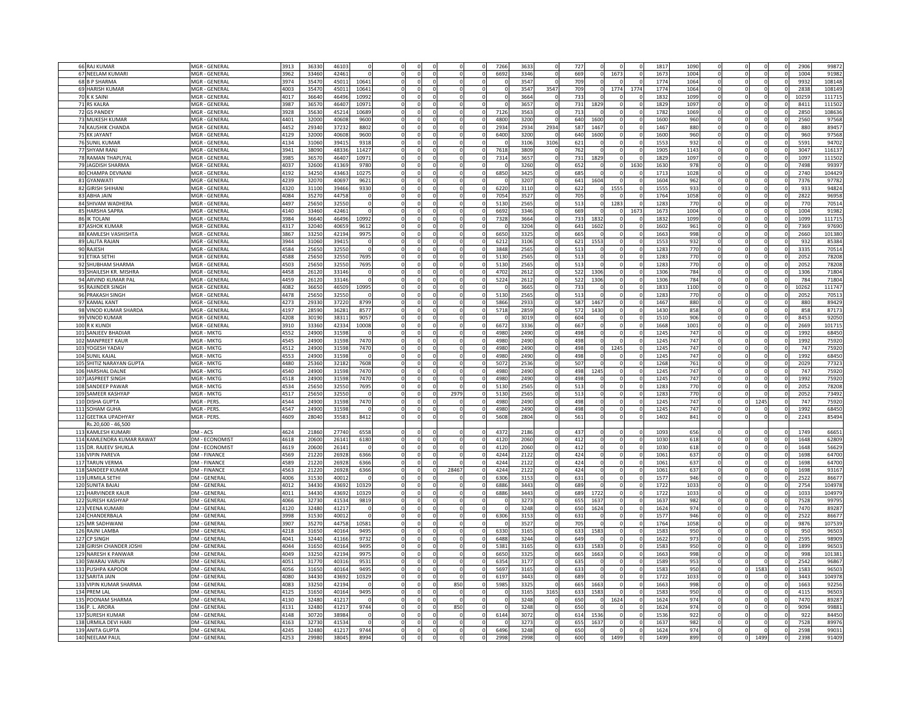| 66 RAJ KUMAR                                    | MGR - GENERAL                              | 3913         | 36330          | 4610           |               |                      |          |          |       |          | 7266         | 3633         |          | 72              |          |                 |                      | 1817         | 1090             |          |      | 2906         | 99872          |
|-------------------------------------------------|--------------------------------------------|--------------|----------------|----------------|---------------|----------------------|----------|----------|-------|----------|--------------|--------------|----------|-----------------|----------|-----------------|----------------------|--------------|------------------|----------|------|--------------|----------------|
| 67 NEELAM KUMAR                                 | MGR - GENERAL                              | 3962         | 33460          | 42461          |               |                      |          |          |       |          | 6692         | 3346         |          | 669             |          | 1673            |                      | 167          | 1004             |          |      | 1004         | 9198           |
| 68 B P SHARMA                                   | MGR - GENERAL                              | 3974         | 3547           | 45011          | 1064          |                      | $\Omega$ |          |       |          |              | 3547         |          | 709             |          | $\sqrt{2}$      | $\Omega$             | 177          | 1064             |          |      | 9932         | 10814          |
|                                                 |                                            |              |                |                |               |                      |          |          |       |          |              | 3547         |          |                 |          |                 |                      |              |                  |          |      |              |                |
| 69 HARISH KUMAR                                 | MGR - GENERAL                              | 1003         | 35470          | 45011          | 10641         |                      |          |          |       |          |              |              | 3547     | 70'             |          | 1774            | 1774                 | 1774         | 1064             |          |      | 2838         | 10814          |
| 70 K K SAINI                                    | MGR - GENERAL                              | 1017         | 36640          | 46496          | 10992         | $\Omega$             |          |          |       |          |              | 3664         |          | 733             |          | $\Omega$        | $\Omega$             | 1833         | 1099             |          |      | 1025         | 11171          |
| 71 RS KALRA                                     | MGR - GENERAL                              | 3987         | 36570          | 46407          | 10971         | $\Omega$             | $\Omega$ |          |       |          |              | 3657         |          | 731             | 1829     | $\Omega$        | $\Omega$             | 182          | 1097             |          |      | 841          | 11150          |
| 72 GS PANDEY                                    | MGR - GENERAL                              | 3928         | 3563           | 45214          | 10689         |                      |          |          |       |          | 7126         | 3563         |          | 71 <sup>3</sup> |          |                 |                      | 1782         | 1069             |          |      | 2850         | 10863          |
| 73 MUKESH KUMAR                                 | MGR - GENERAL                              | 4401         | 32000          | 40608          | 9600          |                      |          |          |       |          | 480C         | 3200         |          | 640             | 1600     |                 | $\Omega$             | 1600         | 960              |          |      | 2560         | 9756           |
| 74 KAUSHIK CHANDA                               | MGR - GENERAL                              | 4452         | 29340          | 37232          | 8802          |                      |          |          |       |          | 2934         | 2934         | 2934     | 587             | 1467     |                 |                      | 1467         | 880              |          |      | 880          | 8945           |
| 75 KK JAYANT                                    | MGR - GENERAL                              | 4129         | 32000          | 40608          | 9600          |                      |          |          |       |          | 6400         | 3200         |          | 640             | 1600     |                 |                      | 1600         | 960              |          |      | 960          | 97568          |
| <b>76 SUNIL KUMAR</b>                           | MGR - GENERAL                              | 4134         | 31060          | 39415          | 931           |                      |          |          |       |          |              | 310          | 3106     | 62              |          |                 |                      | 155          | 932              |          |      | 5591         | 9470           |
| 77 SHYAM RANJ                                   | MGR - GENERAL                              | 3941         | 38090          | 48336          | 11427         |                      |          |          |       |          | 7618         | 3809         |          | 762             |          |                 | $\Omega$             | 1905         | 1143             |          |      | 3047         | 116137         |
| 78 RAMAN THAPLIYAL                              | MGR - GENERAL                              | 3985         | 36570          | 46407          | 10971         | $^{\circ}$           |          |          |       |          | 7314         | 3657         |          | 731             | 1829     | $\Omega$        | $\Omega$             | 1829         | 1097             |          |      | 1097         | 111502         |
| 79 JAGDISH SHARMA                               | MGR - GENERAL                              | 4037         | 32600          | 41369          | 9780          | $\Omega$             |          |          |       |          |              | 3260         |          | 652             |          | $\Omega$        | 1630                 | 1630         | 978              | $\Omega$ |      | 7498         | 99397          |
| 80 CHAMPA DEVNANI                               | MGR - GENERAL                              | 4192         | 34250          | 43463          | 10275         | $\mathbf{0}$         | $\Omega$ |          |       | $\Omega$ | 6850         | 3425         | $\Omega$ | 685             |          | $\overline{0}$  | $\Omega$             | 1713         | 1028             | $\Omega$ |      | 2740         | 104429         |
| 81 GYANWATI                                     | MGR - GENERAL                              | 4239         | 32070          | 40697          | 9621          | $\mathbf{0}$         |          |          |       |          |              | 3207         |          | 641             | 1604     | $\Omega$        | $\Omega$             | 1604         | 962              | $\Omega$ |      | 7376         | 97782          |
| 82 GIRISH SHIHANI                               | MGR - GENERAL                              | 320          | 31100          | 39466          | 9330          | $^{\circ}$           |          |          |       |          | 6220         | 3110         | $\Omega$ | 622             | $\Omega$ | 1555            | $\Omega$             | 1555         | 933              | $\Omega$ |      | 933          | 94824          |
| 83 ABHA JAIN                                    | MGR - GENERAL                              | 1084         | 35270          | 44758          |               | $\Omega$             | $\Omega$ | $\Omega$ |       | ſ        | 7054         | 3527         | $\Omega$ | 705             |          | $\Omega$        | $\Omega$             | 1764         | 1058             | $\Omega$ |      | 2822         | 96958          |
| 84 SHIVAM WADHERA                               | MGR - GENERAL                              | 4497         | 25650          | 32550          |               |                      |          |          |       |          | 5130         | 2565         |          | 513             |          | 1283            | $\Omega$             | 1283         | 770              |          |      | 770          | 70514          |
| 85 HARSHA SAPRA                                 | MGR - GENERAL                              | 4140         | 33460          | 42461          |               |                      |          |          |       |          | 6692         | 3346         |          | 669             |          | $^{\circ}$      | 1673                 | 1673         | 1004             |          |      | 1004         | 91982          |
| 86 IK TOLANI                                    | MGR - GENERAL                              | 3984         | 36640          | 46496          | 10992         |                      |          |          |       |          | 7328         | 3664         |          | 733             | 1832     | $^{\circ}$      |                      | 1832         | 1099             |          |      | 1099         | 11171          |
| 87 ASHOK KUMAR                                  | MGR - GENERAL                              | 4317         | 3204           | 4065           | 9612          |                      |          |          |       |          |              | 3204         |          | 641             | 1602     | $\mathbf 0$     |                      | 1602         | 961              |          |      | 7369         | 9769           |
| 88 KAMLESH VASHISHTA                            | MGR - GENERAL                              | 867          | 3325           | 4219           | 9975          |                      |          |          |       |          | 6650         | 332          |          | 665             |          |                 |                      | 1663         | 998              |          |      | 2660         | 10138          |
| 89 LALITA RAJAN                                 | MGR - GENERAL                              | 3944         | 3106           | 3941           |               |                      |          |          |       |          | 6212         | 3106         |          | 621             | 1553     |                 |                      | 1553         | 932              |          |      | 932          | 85384          |
| 90 RAJESH                                       | MGR - GENERAL                              | 4584         | 25650          | 32550          |               |                      |          |          |       |          | 3848         | 2565         |          | 513             |          |                 |                      | 1283         | 770              |          |      | 3335         | 70514          |
| 91 ETIKA SETHI                                  | MGR - GENERAL                              | 4588         | 2565           | 32550          | 7695          |                      |          |          |       |          | 5130         | 2565         |          | 513             |          |                 |                      | 128          | 770              |          |      | 2052         | 78208          |
| 92 SHUBHAM SHARMA                               | MGR - GENERAL                              | 4503         | 25650          | 32550          | 7695          |                      |          |          |       |          | 5130         | 2565         |          | 513             | - 0      | $\Omega$        | $\Omega$             | 1283         | 770              |          |      | 2052         | 78208          |
|                                                 |                                            |              |                |                |               |                      |          |          |       |          |              | 2612         |          |                 | 1306     |                 |                      | 1306         | 784              |          |      | 1306         | 71804          |
| 93 SHAILESH KR. MISHRA                          | MGR - GENERAL                              | 4458<br>4459 | 2612           | 33146          |               | $\Omega$             |          |          |       |          | 4702<br>5224 | 2612         |          | 522             | 1306     | $\Omega$        | $\Omega$             | 130          | 784              |          |      | 784          | 71804          |
| 94 ARVIND KUMAR PAL                             | MGR - GENERAL<br>MGR - GENERAL             | 4082         | 26120<br>3665  | 33146<br>46509 | 10995         |                      |          |          |       |          |              | 3665         |          | 522<br>733      |          | $\Omega$        | $\Omega$             | 183          | 1100             |          |      | 10262        | 11174          |
| 95 RAJINDER SINGH<br>96 PRAKASH SINGH           | MGR - GENERA                               | 4478         | 2565           | 32550          |               |                      |          |          |       |          |              | 2565         |          |                 |          |                 |                      |              | 770              |          |      | 205          |                |
| 97 KAMAL KANT                                   | MGR - GENERAL                              | 4273         | 2933           | 37220          | 8799          |                      |          |          |       |          | 5130<br>5866 | 2933         |          | 513<br>587      | 1467     |                 | $\Omega$             | 128<br>1467  | 880              |          |      | 880          | 7051<br>8942   |
| 98 VINOD KUMAR SHARDA                           | MGR - GENERAL                              | 1197         | 2859           | 36281          | 8577          |                      |          |          |       |          | 5718         | 2859         |          | 572             | 1430     |                 |                      | 1430         | 858              |          |      | 858          | 8717           |
|                                                 |                                            |              |                |                |               |                      |          |          |       |          |              |              |          |                 |          |                 |                      |              |                  |          |      |              |                |
| 99 VINOD KUMAR<br>100 R K KUNDI                 | MGR - GENERAL<br>MGR - GENERAL             | 1208<br>3910 | 3019<br>3336   | 38311<br>42334 | 9057<br>10008 |                      |          |          |       |          | 6672         | 3019<br>3336 |          | 604<br>667      |          |                 |                      | 151<br>1668  | 906<br>1001      |          |      | 8453<br>2669 | 9205<br>10171  |
|                                                 |                                            |              |                |                |               |                      |          |          |       |          |              |              |          | 498             |          |                 |                      |              |                  |          |      |              |                |
| 101 SANJEEV BHADIAR<br>102 MANPREET KAUR        | MGR - MKTG<br>MGR - MKTG                   | 552<br>4545  | 2490<br>24900  | 31598<br>31598 | 7470          |                      |          |          |       |          | 498C<br>4980 | 2490<br>2490 |          | 498             |          |                 |                      | 1245<br>124  | 747<br>747       |          |      | 1992<br>1992 | 6845           |
|                                                 |                                            |              |                |                |               |                      |          |          |       |          |              |              |          |                 |          |                 |                      |              |                  |          |      |              | 7592           |
| 103 YOGESH YADAV                                | MGR - MKTG                                 | 4512         | 24900          | 31598          | 7470          |                      |          |          |       |          | 4980         | 2490         |          | 498             |          | 1245            |                      | 124          | 747              |          |      | 747          | 7592           |
| 104 SUNIL KAJAL                                 | MGR - MKTG                                 | 4553         | 24900          | 31598          |               |                      |          |          |       |          | 4980         | 2490         |          | 498             |          |                 | $\Omega$<br>$\Omega$ | 124          | 747              |          |      | 1992         | 68450          |
| 105 SHITIZ NARAYAN GUPTA                        | MGR - MKTG                                 | 4480         | 25360          | 32182          | 7608          |                      |          |          |       |          | 5072         | 2536         |          | 507             |          |                 | $\Omega$             | 1268         | 761              |          |      | 2029         | 77323          |
| 106 HARSHAL DALNE                               | MGR - MKTG<br>MGR - MKTG                   | 4540<br>4518 | 24900          | 31598<br>31598 | 7470          |                      |          |          |       |          | 4980<br>4980 | 2490         |          | 498<br>498      | 1245     |                 |                      | 1245         | 747              |          |      | 747          | 7592           |
| 107 JASPREET SINGH                              | MGR - MKTG                                 | 4534         | 24900          |                | 7470          |                      |          |          |       |          |              | 2490         |          |                 |          |                 | n                    | 1245         | 747              |          |      | 1992         | 7592           |
| 108 SANDEEP PAWAR                               |                                            |              | 25650          | 32550          | 7695          |                      |          |          |       |          | 5130         | 2565         |          | 51              |          |                 | n                    | 128          | 770              |          |      | 2052         | 7820           |
| 109 SAMEER KASHYAP<br>110 DISHA GUPTA           | MGR - MKTG<br>MGR - PERS.                  | 517<br>1544  | 25650<br>24900 | 32550<br>31598 | 7470          |                      |          |          | 2979  |          | 5130<br>4980 | 2565<br>2490 |          | 513<br>498      | -C       |                 | n                    | 1283<br>124' | 770<br>747       | $\Omega$ | 1245 | 2052<br>747  | 7349<br>7592   |
| 111 SOHAM GUHA                                  | MGR - PERS.                                | 1547         | 24900          | 31598          |               |                      |          |          |       |          | 4980         |              | $\Omega$ | 498             |          | $\Omega$        | $\Omega$             | 124'         | 747              |          |      | 1992         | 6845           |
|                                                 |                                            |              |                |                |               |                      |          |          |       |          |              | 2490         |          |                 |          | $\Omega$        | $\Omega$             |              |                  |          |      |              |                |
| 112 GEETIKA UPADHYAY                            | MGR - PERS.                                | 1609         | 28040          | 3558           | 8412          |                      |          |          |       |          | 5608         | 2804         |          | 561             |          |                 |                      | 1402         | 841              |          |      | 2243         | 85494          |
| Rs.20,600 - 46,500                              |                                            |              |                |                |               |                      |          |          |       |          |              |              |          |                 |          |                 |                      |              |                  |          |      |              |                |
| 113 KAMLESH KUMARI<br>114 KAMLENDRA KUMAR RAWAT | DM - ACS<br>DM - ECONOMIST                 | 624<br>618   | 2186<br>2060   | 2774           | 6558          |                      |          |          |       |          | 4372<br>412  | 2186         |          | 43<br>41        |          |                 |                      | 1093<br>103  | 656              |          |      | 1749<br>1648 | 66651<br>6280  |
|                                                 |                                            |              |                | 2614           | 6180          |                      |          |          |       |          |              | 2060         |          |                 |          |                 |                      |              | 618              |          |      |              |                |
| 115 DR. RAJEEV SHUKLA                           | DM - ECONOMIST                             | 1619         | 2060           | 2614           |               |                      |          |          |       |          | 4120         | 2060         |          | 41              |          |                 |                      | 103          | 618              |          |      | 1648         | 5662<br>6470   |
| 116 VIPIN PAREVA                                | <b>DM - FINANCE</b>                        | 4569         | 21220          | 26928          | 6366          |                      |          |          |       |          | 4244         | 2122         |          | 424             |          |                 |                      | 106          | 637              |          |      | 1698         |                |
| 117 TARUN VERMA                                 | <b>DM - FINANCE</b>                        | 4589         | 21220          | 26928          | 6366          | $\Omega$<br>$\Omega$ | $\Omega$ |          |       |          | 4244         | 2122         |          | 42 <sub>4</sub> | $\Omega$ |                 |                      | 106          | 637              |          |      | 1698         | 6470           |
| 118 SANDEEP KUMAR                               | <b>DM - FINANCE</b>                        | 4563         | 21220          | 26928          | 6366          |                      |          |          | 28467 |          | 4244         | 2122         |          | 424             |          | $\Omega$        |                      | 1061         | 637              |          |      | 1698         | 9316           |
| 119 URMILA SETHI                                | DM - GENERAL                               | 4006         | 31530          | 40012          |               | $\Omega$             | $\Omega$ |          |       |          | 6306         | 3153         |          | 63              |          | $\Omega$        |                      | 157          | 946              |          |      | 2522         | 8667           |
| 120 SUNITA BAJAJ                                | DM - GENERAL                               | 4012         | 3443           | 4369           | 10329         |                      |          |          |       |          | 6886         | 3443         |          | 68              |          |                 |                      | 172          | 1033             |          |      | 2754         | 10497          |
| 121 HARVINDER KAUR                              | <b>DM - GENERAL</b>                        | 4011         | 3443           | 43693          | 1032          | $\Omega$             |          |          |       |          | 6886         | 3443         |          | 689             | 1722     | $\Omega$        |                      | 1723         | 103 <sup>5</sup> |          |      | 103          | 10497          |
| 122 SURESH KASHYAF                              | DM - GENERAL                               | 1066         | 3273           | 41534          | 9819          | $\Omega$             |          |          |       |          |              | 3273         |          | 655             | 1637     | $\Omega$        |                      | 163          | 982              |          |      | 7528         | 9979           |
| 123 VEENA KUMARI                                | DM - GENERAI                               | 4120         | 32480          | 4121           |               |                      |          |          |       |          |              | 3248         |          | 650             | 1624     |                 |                      | 162          | 974              |          |      | 7470         | 8928           |
| 124 CHANDERBALA                                 | <b>DM - GENERAL</b>                        | 3998         | 3153           | 4001           |               | $\Omega$             |          |          |       |          | 6306         | 3153         |          | 631             |          | $\Omega$        | $\Omega$             | 157          | 946              |          |      | 2522         | 8667           |
| 125 MR SADHWAN<br>126 RAINI LAMBA               | <b>DM - GENERAL</b>                        | 3907<br>4218 | 3527<br>3165   | 44758<br>4016  | 10581<br>949  |                      |          |          |       |          | 6330         | 3527<br>3165 |          | 705<br>633      | 1583     |                 |                      | 1764<br>158  | 1058<br>950      |          |      | 9876<br>950  | 10753          |
|                                                 | DM - GENERA                                |              |                |                |               |                      |          |          |       |          |              |              |          |                 |          |                 |                      |              |                  |          |      |              | 9650           |
| 127 CP SINGH                                    | DM - GENERA                                | 4041         | 3244           | 4116           | 973           |                      |          |          |       |          | 6488         | 3244         |          | 64              |          |                 |                      | 162          | 973              |          |      | 2595         | 9890           |
| 128 GIRISH CHANDER JOSHI                        | DM - GENERA                                | 4044         | 31650          | 40164          | 9495          |                      |          |          |       |          | 5381         | 3165         |          | 633             | 1583     |                 |                      | 1583         | 950              |          |      | 1899         | 9650           |
| 129 NARESH K PANWAR                             | DM - GENERAL                               | 4049         | 33250          | 42194          | 9975          |                      |          |          |       |          | 6650         | 3325         |          | 665             | 1663     |                 |                      | 1663         | 998              |          |      | 998          | 101381         |
| 130 SWARAJ VARUN                                | DM - GENERAL                               | 4051         | 31770          | 40316          | 9531          |                      |          |          |       |          | 6354         | 3177         |          | 635             |          |                 |                      | 1589         | 953              |          |      | 2542         | 96867          |
| 131 PUSHPA KAPOOR                               | DM - GENERAL                               | 4056         | 31650          | 40164          | 9495          |                      |          |          |       |          | 5697         | 3165         |          | 633             |          |                 | $\Omega$             | 1583         | 950              |          | 1583 | 1583         | 96503          |
| 132 SARITA JAIN                                 | DM - GENERAL                               | 4080         | 34430          | 43692          | 10329         |                      |          |          |       |          | 6197         | 3443         |          | 689             |          |                 |                      | 1722         | 1033             |          |      | 3443         | 104978         |
| 133 VIPIN KUMAR SHARMA<br>134 PREM LAL          | DM - GENERAI                               | 4083         | 33250          | 42194          |               |                      |          |          | 850   |          | 5985         | 3325         |          | 665             | 1663     |                 |                      | 1663         | 998<br>950       |          |      | 1663         | 92256<br>96503 |
| 135 POONAM SHARMA                               | DM - GENERA                                | 4125         | 31650          | 40164          | 9495          |                      |          |          |       |          |              | 3165         | 3165     | 633             | 1583     | $\Omega$        | $\Omega$             | 158          | 974              |          |      | 4115         |                |
| 136 P. L. ARORA                                 | <b>DM - GENERAL</b><br><b>DM - GENERAL</b> | 4130<br>4131 | 32480<br>32480 | 41217<br>41217 | 9744          |                      | n        |          | 850   |          |              | 3248<br>3248 |          | 650<br>650      | -0       | 1624            | n                    | 1624<br>1624 | 974              | $\Omega$ |      | 7470<br>9094 | 89287<br>99881 |
| 137 SURESH KUMAR                                | <b>DM - GENERAL</b>                        | 4148         | 30720          | 38984          |               |                      |          |          |       |          | 6144         | 3072         |          | 614             | 1536     | - 0<br>$\Omega$ |                      | 1536         | 922              |          |      | 922          | 84450          |
| 138 URMILA DEVI HARI                            | <b>DM - GENERAL</b>                        | 4163         | 32730          | 41534          |               |                      |          |          |       |          |              | 3273         |          | 655             | 1637     | $\Omega$        |                      | 163          | 982              |          |      | 7528         | 89976          |
| 139 ANITA GUPTA                                 | DM - GENERAL                               | 4245         | 32480          | 41217          | 9744          |                      |          |          |       |          | 6496         | 3248         |          | 650             |          | $\mathbf 0$     |                      | 1624         | 974              |          |      | 2598         | 99031          |
| 140 NEELAM PAUL                                 | DM - GENERAL                               | 4253         | 2998           | 3804           | 8994          |                      |          |          |       |          | 299          | 299          |          | 60C             |          | 149             |                      | 149          | 899              |          | 149  | 239          | 91409          |
|                                                 |                                            |              |                |                |               |                      |          |          |       |          |              |              |          |                 |          |                 |                      |              |                  |          |      |              |                |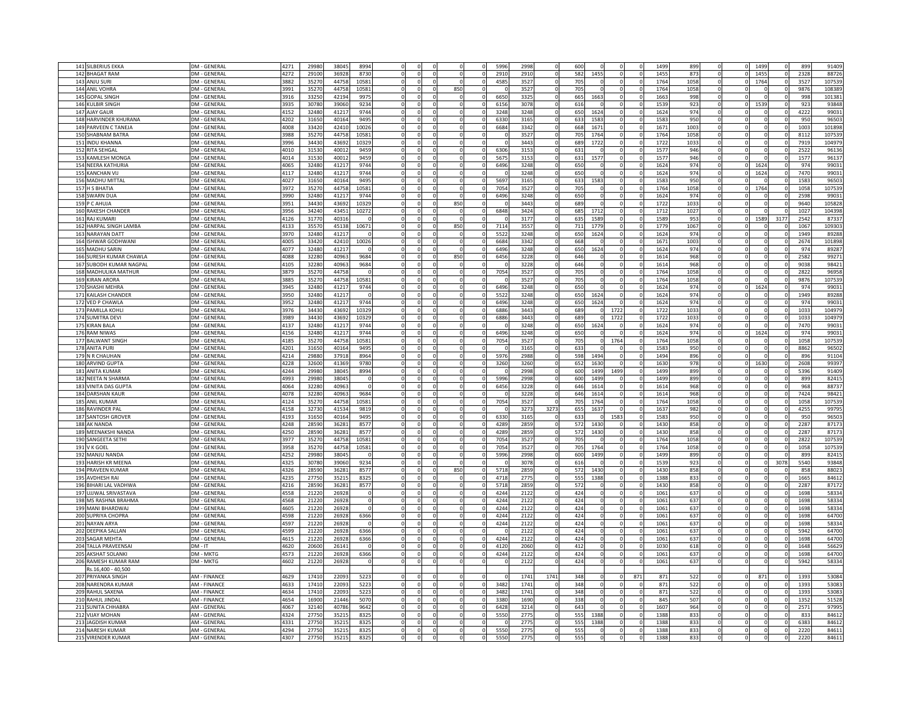| 141 SILBERIUS EKKA      |                     | 4271 | 29980 | 38045 |       |          |     |          | 5996 | 2998 |          |                 |      |          |          | 1499 | 899  |          | 149      |          | 899  | 91409  |
|-------------------------|---------------------|------|-------|-------|-------|----------|-----|----------|------|------|----------|-----------------|------|----------|----------|------|------|----------|----------|----------|------|--------|
|                         | DM - GENERAL        |      |       |       | 8994  |          |     |          |      |      |          | 600             |      |          |          | 1455 |      |          |          |          |      |        |
| 142 BHAGAT RAM          | DM - GENERAL        | 4272 | 29100 | 36928 | 8730  |          |     |          | 2910 | 2910 |          | 582             | 1455 |          |          |      | 873  |          | 1455     |          | 2328 | 88726  |
| 143 ANJU SURI           | <b>DM - GENERAL</b> | 3882 | 35270 | 44758 | 1058  |          |     |          | 4585 | 3527 |          | 705             |      |          |          | 1764 | 1058 |          | 1764     |          | 3527 | 107539 |
| 144 ANIL VOHRA          | DM - GENERAL        | 991  | 35270 | 4475  | 10581 |          | 850 |          |      | 3527 |          | 70              |      |          |          | 1764 | 1058 |          |          |          | 9876 | 108389 |
| 145 GOPAL SINGH         | DM - GENERAL        | 1916 | 33250 | 4219  | 997   |          |     |          | 6650 | 3325 |          | 66              | 166  |          |          | 1663 | 998  |          |          |          | 998  | 101381 |
| 146 KULBIR SINGH        | <b>DM - GENERAL</b> | 3935 | 30780 | 39060 | 9234  | $\Omega$ |     |          | 6156 | 3078 | $\Omega$ | 61              |      |          |          | 1539 | 923  |          | 1539     |          | 923  | 93848  |
| 147 AJAY GAUR           | DM - GENERAI        | 4152 | 32480 | 4121  | 9744  |          |     |          | 3248 | 3248 |          | 650             | 1624 |          |          | 1624 | 974  |          |          |          | 4222 | 9903   |
| 148 HARVINDER KHURANA   | DM - GENERA         | 4202 | 31650 | 40164 | 9495  |          |     |          | 6330 | 3165 |          | 633             | 158  |          |          | 1583 | 950  |          |          |          | 950  | 9650   |
| 149 PARVEEN C TANEJA    | DM - GENERAI        | 4008 | 33420 | 42410 | 10026 |          |     |          | 6684 | 3342 |          | 668             | 167' |          |          | 1671 | 1003 |          |          |          | 1003 | 101898 |
|                         |                     |      |       |       |       |          |     |          |      |      |          |                 |      |          |          |      |      |          |          |          |      |        |
| 150 SHABNAM BATRA       | DM - GENERA         | 3988 | 3527  | 44758 | 10581 |          |     |          |      | 3527 |          | 70              | 176  |          |          | 1764 | 1058 |          |          |          | 8112 | 107539 |
| 151 INDU KHANNA         | DM - GENERAI        | 3996 | 34430 | 43692 | 10329 |          |     |          |      | 3443 |          | 68              | 1722 |          |          | 172  | 1033 |          |          |          | 7919 | 104979 |
| 152 RITA SEHGAL         | DM - GENERAL        | 4010 | 31530 | 40012 | 9459  |          |     |          | 6306 | 3153 |          | 631             |      |          | $\Omega$ | 1577 | 946  |          |          |          | 2522 | 96136  |
| 153 KAMLESH MONGA       | <b>DM - GENERAL</b> | 4014 | 31530 | 40012 | 9459  |          |     |          | 5675 | 3153 | $\Omega$ | 631             | 1577 |          |          | 1577 | 946  |          |          |          | 1577 | 96137  |
| 154 NEERA KATHURIA      | DM - GENERAL        | 4065 | 32480 | 41217 | 9744  |          |     |          | 6496 | 3248 | $\Omega$ | 650             |      |          |          | 1624 | 974  |          | 1624     |          | 974  | 99031  |
| 155 KANCHAN VIJ         | DM - GENERAL        | 4117 | 32480 | 41217 | 9744  |          |     | $\Omega$ |      | 3248 | $\Omega$ | 650             |      |          |          | 1624 | 974  | $\Omega$ | 1624     |          | 7470 | 99031  |
| 156 MADHU MITTAL        | <b>DM - GENERAL</b> | 4027 | 31650 | 40164 | 9495  |          |     | $\Omega$ | 5697 | 3165 | $\Omega$ | 633             | 1583 |          |          | 1583 | 950  |          |          | $\Omega$ | 1583 | 96503  |
| 157 H S BHATIA          | DM - GENERAI        | 3972 | 35270 | 44758 | 10581 |          |     |          | 7054 | 3527 | $\Omega$ | 705             |      |          |          | 1764 | 1058 |          | 1764     |          | 1058 | 107539 |
| 158 SWARN DUA           | <b>DM - GENERAL</b> | 3990 | 32480 | 41217 | 9744  | $\Omega$ |     | $\Omega$ | 6496 | 3248 | $\Omega$ | 650             |      | $\Omega$ | ſ        | 1624 | 974  |          | $\Omega$ | $\Omega$ | 2598 | 99031  |
|                         | <b>DM - GENERAL</b> | 3951 | 34430 | 43692 | 10329 |          | 850 |          |      | 3443 |          | 689             |      |          |          | 1722 | 1033 |          |          |          | 9640 | 105828 |
| 159 P C AHUJA           |                     |      |       |       |       |          |     | $\Omega$ |      |      | $\Omega$ |                 |      |          |          |      |      |          | $\Omega$ | $\Omega$ |      |        |
| 160 RAKESH CHANDER      | DM - GENERAL        | 3956 | 34240 | 43451 | 10272 |          |     |          | 6848 | 3424 |          | 685             | 1712 |          |          | 1712 | 1027 |          |          |          | 1027 | 104398 |
| 161 RAJ KUMARI          | DM - GENERAL        | 4126 | 31770 | 40316 |       |          |     |          |      | 3177 |          | 635             | 1589 |          |          | 1589 | 953  |          | 1589     | 3177     | 2542 | 87337  |
| 162 HARPAL SINGH LAMBA  | DM - GENERAL        | 4133 | 3557  | 45138 | 10671 |          | 850 |          | 7114 | 3557 |          | 711             | 177  |          |          | 1779 | 1067 |          |          |          | 1067 | 109303 |
| 163 NARAYAN DATT        | DM - GENERAL        | 3970 | 32480 | 4121  |       |          |     |          | 5522 | 3248 |          | 650             | 1624 |          |          | 1624 | 974  |          |          |          | 1949 | 89288  |
| 164 ISHWAR GODHWANI     | DM - GENERAL        | 4005 | 33420 | 42410 | 10026 |          |     |          | 6684 | 3342 |          | 668             |      |          |          | 1671 | 1003 |          |          |          | 2674 | 101898 |
| 165 MADHU SARIN         | DM - GENERAL        | 4077 | 32480 | 41217 |       |          |     |          | 6496 | 3248 |          | 650             | 1624 |          |          | 1624 | 974  |          |          |          | 974  | 89287  |
| 166 SURESH KUMAR CHAWLA | <b>DM - GENERAL</b> | 4088 | 32280 | 40963 | 9684  |          | 850 |          | 6456 | 3228 |          | 646             |      |          |          | 1614 | 968  |          |          |          | 2582 | 99271  |
| 167 SUBODH KUMAR NAGPAL | DM - GENERAL        | 4105 | 32280 | 40963 | 9684  |          |     |          |      | 3228 |          | 646             |      |          |          | 1614 | 968  |          |          |          | 9038 | 98421  |
| 168 MADHULIKA MATHUR    | DM - GENERAL        | 3879 | 3527  | 44758 |       |          |     | $\Omega$ | 7054 | 3527 |          | 705             |      |          |          | 1764 | 1058 |          | $\Omega$ | $\Omega$ | 2822 | 96958  |
|                         |                     |      |       |       |       |          |     |          |      | 3527 |          |                 |      |          |          |      |      |          |          | $\Omega$ |      |        |
| 169 KIRAN ARORA         | DM - GENERAL        | 3885 | 3527  | 44758 | 10581 |          |     | $\Omega$ |      |      |          | 705             |      |          |          | 1764 | 1058 |          |          |          | 9876 | 107539 |
| 170 SHASHI MEHRA        | DM - GENERAL        | 3945 | 32480 | 41217 | 9744  | $\Omega$ |     |          | 6496 | 3248 | $\Omega$ | 650             |      |          |          | 1624 | 974  |          | 1624     | $\Omega$ | 974  | 99031  |
| 171 KAILASH CHANDER     | <b>DM - GENERAI</b> | 3950 | 32480 | 41217 |       | $\Omega$ |     | $\Omega$ | 5522 | 3248 | $\Omega$ | 650             | 1624 |          |          | 1624 | 974  |          | $\Omega$ | $\Omega$ | 1949 | 89288  |
| 172 VED P CHAWLA        | <b>DM - GENERAL</b> | 3952 | 32480 | 41217 | 9744  |          |     |          | 6496 | 3248 |          | 650             | 1624 |          |          | 1624 | 974  |          |          |          | 974  | 99031  |
| 173 PAMILLA KOHLI       | <b>DM - GENERA</b>  | 3976 | 3443  | 43692 | 10329 |          |     |          | 6886 | 3443 |          | 689             |      | 1722     |          | 1722 | 1033 |          |          |          | 1033 | 104979 |
| 174 SUMITRA DEVI        | DM - GENERAL        | 3989 | 3443  | 43692 | 10329 |          |     |          | 6886 | 3443 |          | 689             |      | 172:     |          | 1722 | 1033 |          |          |          | 1033 | 104979 |
| 175 KIRAN BALA          | DM - GENERAL        | 4137 | 3248  | 4121  | 9744  |          |     |          |      | 3248 |          | 650             | 1624 |          |          | 1624 | 974  |          |          |          | 7470 | 9903   |
| 176 RAM NIWAS           | DM - GENERA         | 4156 | 32480 | 4121  | 974   |          |     |          | 6496 | 3248 |          | 651             |      |          |          | 1624 | 974  |          | 1624     |          | 974  | 9903   |
| 177 BALWANT SINGH       | DM - GENERAI        | 4185 | 3527  | 44758 | 10581 |          |     |          | 7054 | 3527 |          | 705             |      | 1764     |          | 1764 | 1058 |          |          |          | 1058 | 107539 |
| 178 ANITA PURI          | DM - GENERAL        | 4201 | 31650 | 40164 | 9495  |          |     |          |      | 3165 |          | 633             |      |          |          | 1583 | 950  |          |          |          | 8862 | 96502  |
|                         |                     |      |       |       |       |          |     |          |      |      |          |                 |      |          |          |      |      |          |          |          |      |        |
| 179 N R CHAUHAN         | DM - GENERAL        | 4214 | 29880 | 37918 | 8964  |          |     |          | 5976 | 2988 |          | 598             | 1494 |          |          | 1494 | 896  |          |          |          | 896  | 91104  |
| 180 ARVIND GUPTA        | DM - GENERAL        | 4228 | 32600 | 41369 | 9780  |          |     |          | 3260 | 3260 |          | 652             | 1630 |          | $\Omega$ | 1630 | 978  |          | 1630     |          | 2608 | 99397  |
| 181 ANITA KUMAR         | DM - GENERAL        | 4244 | 29980 | 38045 | 8994  |          |     |          |      | 2998 | $\Omega$ | 60C             | 1499 | 1499     | $\Omega$ | 1499 | 899  |          |          |          | 5396 | 91409  |
| 182 NEETA N SHARMA      | DM - GENERAI        | 4993 | 29980 | 38045 |       |          |     |          | 599  | 2998 | n        | 600             | 1499 |          |          | 1499 | 899  |          |          |          | 899  | 82415  |
| 183 VINITA DAS GUPTA    | DM - GENERAL        | 4064 | 32280 | 4096  |       |          |     |          | 6456 | 3228 |          | 646             | 1614 |          |          | 161  | 968  |          |          |          | 968  | 88737  |
| <b>184 DARSHAN KAUR</b> | DM - GENERAL        | 4078 | 32280 | 40963 | 9684  |          |     |          |      | 3228 |          | 646             | 1614 |          |          | 161  | 968  |          |          |          | 7424 | 98421  |
| 185 ANIL KUMAR          | DM - GENERAL        | 1124 | 35270 | 44758 | 10581 |          |     |          | 7054 | 3527 |          | 705             | 1764 |          |          | 1764 | 1058 |          |          |          | 1058 | 10753  |
| 186 RAVINDER PAL        | DM - GENERAL        | 1158 | 32730 | 41534 | 9819  |          |     |          |      | 3273 | 3273     | 655             | 1637 |          |          | 1637 | 982  |          |          |          | 4255 | 99795  |
| 187 SANTOSH GROVER      | DM - GENERAL        | 4193 | 31650 | 40164 | 9495  |          |     |          | 6330 | 3165 |          | 633             |      | 1583     |          | 1583 | 950  |          |          |          | 950  | 96503  |
| 188 AK NANDA            | DM - GENERAL        | 4248 | 2859  | 36281 | 8577  |          |     |          | 4289 | 2859 |          | 572             | 1430 |          |          | 1430 | 858  |          |          |          | 2287 | 87173  |
|                         |                     |      |       |       |       |          |     |          |      |      |          |                 |      |          |          |      |      |          |          |          |      | 87173  |
| 189 MEENAKSHI NANDA     | DM - GENERAI        | 250  | 28590 | 36281 | 8577  |          |     |          | 4289 | 2859 |          | 572             | 1430 |          |          | 1430 | 858  |          |          |          | 2287 |        |
| 190 SANGEETA SETHI      | DM - GENERAI        | 977  | 3527  | 4475  | 10581 |          |     |          | 7054 | 3527 |          | 70              |      |          |          | 1764 | 1058 |          |          |          | 2822 | 10753  |
| 191 V K GOEL            | DM - GENERAL        | 958  | 3527  | 4475  | 10581 |          |     |          | 7054 | 3527 |          | 705             | 176  |          |          | 1764 | 1058 |          |          |          | 1058 | 10753  |
| 192 MANJU NANDA         | DM - GENERAL        | 4252 | 29980 | 3804  |       |          |     |          | 5996 | 2998 |          | 600             | 1499 |          |          | 1499 | 899  |          |          |          | 899  | 8241   |
| 193 HARISH KR MEENA     | DM - GENERAL        | 4325 | 30780 | 39060 | 9234  |          |     |          |      | 3078 |          | 61              |      |          |          | 1539 | 923  |          |          | 3078     | 5540 | 93848  |
| 194 PRAVEEN KUMAR       | DM - GENERAL        | 4326 | 28590 | 36281 | 8577  |          | 850 |          | 5718 | 2859 |          | 572             | 1430 |          |          | 1430 | 858  |          |          |          | 858  | 8802   |
| 195 AVDHESH RAI         | DM - GENERAL        | 4235 | 27750 | 3521  | 8325  |          |     |          | 4718 | 2775 |          | 555             | 1388 |          |          | 1388 | 833  |          |          |          | 1665 | 84612  |
| 196 BIHARI LAL VADHWA   | <b>DM - GENERAL</b> | 4216 | 2859  | 36281 | 8577  |          |     |          | 5718 | 2850 |          | 57              |      |          |          | 1430 | 858  |          |          |          | 2287 | 8717   |
| 197 UJJWAL SRIVASTAVA   | DM - GENERAI        | 4558 | 21220 | 2692  |       |          |     |          | 424  | 2122 |          | 424             |      |          |          | 1061 | 637  |          |          |          | 1698 | 5833   |
| 198 MS RASHNA BRAHMA    | DM - GENERAI        | 4568 | 2122  | 26928 |       | $\Omega$ |     |          | 4244 | 2122 | $\Omega$ | 42.             |      |          |          | 1061 | 637  |          | $\Omega$ | $\Omega$ | 1698 | 58334  |
| 199 MANI BHARDWAJ       | DM - GENERAL        | 4605 | 21220 | 26928 |       |          |     |          | 4244 | 2122 |          | 424             |      |          |          | 1061 | 637  |          |          |          | 1698 | 58334  |
| 200 SUPRIYA CHOPRA      | <b>DM - GENERAL</b> | 4598 | 21220 | 26928 | 6366  |          |     |          | 4244 | 2122 |          | 42 <sup>2</sup> |      |          |          | 1061 | 637  |          |          |          | 1698 | 64700  |
|                         |                     | 4597 |       |       |       |          |     |          |      |      |          |                 |      |          |          |      |      |          |          |          |      |        |
| 201 NAYAN ARYA          | <b>DM - GENERA</b>  |      | 21220 | 26928 |       |          |     |          | 4244 | 2122 |          | 42 <sup>2</sup> |      |          |          | 1061 | 637  |          |          |          | 1698 | 58334  |
| 202 DEEPIKA SALLAN      | DM - GENERA         | 4599 | 2122  | 2692  | 6366  |          |     |          |      | 2121 |          | 42.             |      |          |          | 1061 | 637  |          |          |          | 5942 | 64700  |
| 203 SAGAR MEHTA         | DM - GENERA         | 4615 | 2122  | 2692  | 6366  |          |     |          | 4244 | 212  |          | 42.             |      |          |          | 106' | 637  |          |          |          | 1698 | 64700  |
| 204 TALLA PRAVEENSA     | $DM - IT$           | 4620 | 2060  | 26141 |       |          |     |          | 4120 | 2060 |          | 41              |      |          |          | 103  | 618  |          |          |          | 1648 | 56629  |
| 205 AKSHAT SOLANKI      | DM - MKTG           | 4573 | 21220 | 26928 | 6366  |          |     |          | 4244 | 2122 |          | 424             |      |          |          | 1061 | 637  |          |          |          | 1698 | 64700  |
| 206 RAMESH KUMAR RAM    | DM - MKTG           | 4602 | 21220 | 26928 |       |          |     |          |      | 2122 |          | 424             |      |          |          | 1061 | 637  |          |          |          | 5942 | 58334  |
| Rs.16,400 - 40,500      |                     |      |       |       |       |          |     |          |      |      |          |                 |      |          |          |      |      |          |          |          |      |        |
| 207 PRIYANKA SINGH      | <b>AM - FINANCE</b> | 4629 | 17410 | 22093 | 5223  |          |     |          |      | 1741 | 1741     | 348             |      |          | 871      | 871  | 522  |          | 871      |          | 1393 | 53084  |
| 208 NARENDRA KUMAR      | <b>AM - FINANCE</b> | 4633 | 17410 | 22093 | 5223  |          |     |          | 3482 | 1741 |          | 348             |      |          |          | 871  | 522  |          |          |          | 1393 | 53083  |
| 209 RAHUL SAXENA        | <b>AM - FINANCE</b> | 4634 | 17410 | 22093 | 5223  |          |     | $\Omega$ | 3482 | 1741 |          | 348             |      |          |          | 871  | 522  |          |          | $\Omega$ | 1393 | 53083  |
| 210 RAHUL JINDAL        | <b>AM - FINANCE</b> | 4654 | 1690  | 21446 | 5070  |          |     | $\Omega$ | 3380 | 1690 |          | 338             |      |          |          | 845  | 507  |          |          | $\Omega$ | 1352 | 51528  |
| 211 SUNITA CHHABRA      | AM - GENERAL        | 4067 | 32140 | 40786 | 9642  |          |     |          | 6428 | 3214 |          | 643             |      |          |          | 1607 | 964  |          |          |          | 2571 | 97995  |
|                         |                     |      |       |       |       |          |     |          |      |      | n        |                 |      |          |          |      |      |          | n        | n        |      |        |
| 212 VIJAY MOHAN         | AM - GENERAL        | 1324 | 27750 | 35215 | 8325  |          |     |          | 5550 | 2775 |          | 555             | 1388 |          |          | 1388 | 833  |          |          |          | 833  | 84612  |
| 213 JAGDISH KUMAR       | AM - GENERAL        | 4331 | 27750 | 35215 | 8325  |          |     |          |      | 2775 |          | 555             | 1388 |          |          | 1388 | 833  |          |          |          | 6383 | 84612  |
| 214 NARESH KUMAR        | AM - GENERAL        | 4294 | 2775  | 3521  | 8325  |          |     |          | 5550 | 2775 |          | 555             |      |          |          | 1388 | 833  |          |          |          | 2220 | 84611  |
| 215 VIRENDER KUMAR      | AM - GENERAI        | 4307 | 2775  | 3521  | 8325  |          |     |          | 555  | 277  |          | 555             |      |          |          | 1388 | 833  |          |          |          | 2220 | 84611  |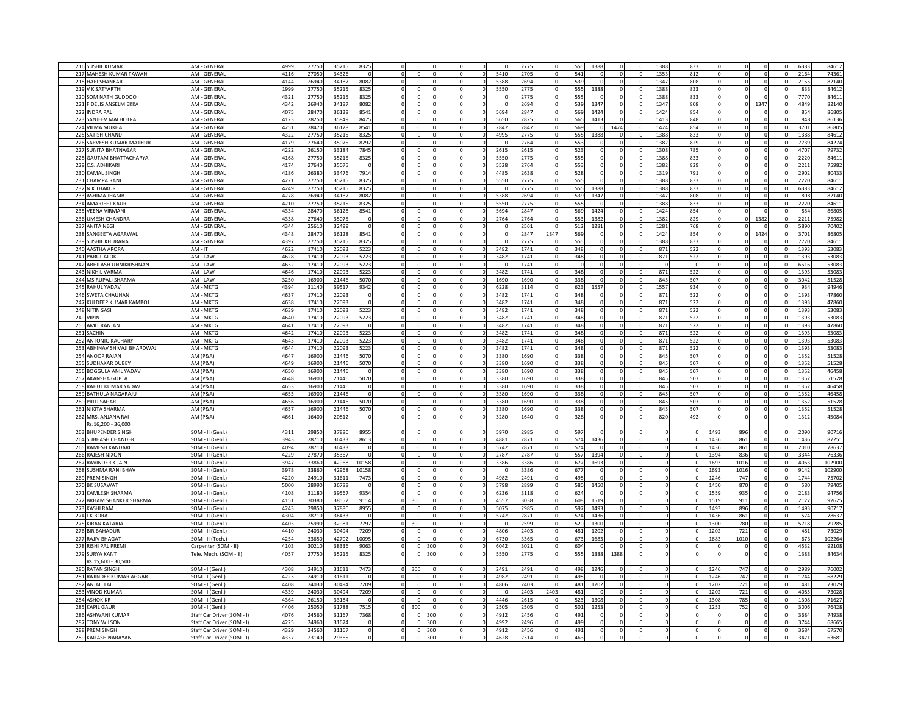| 216 SUSHIL KUMAR             | AM - GENERA                | 4999 | 2775  | 3521  | 8325  |                     |                      | 277              |                 | 555<br>1388 |          | 1388 | 833 |          |            | 638              | 84612  |
|------------------------------|----------------------------|------|-------|-------|-------|---------------------|----------------------|------------------|-----------------|-------------|----------|------|-----|----------|------------|------------------|--------|
| 217 MAHESH KUMAR PAWAN       | AM - GENERA                | 4116 | 2705  | 34326 |       |                     | 5410                 | 270              |                 | 541         |          | 135  | 812 |          |            | 2164             | 74361  |
|                              |                            |      |       |       |       |                     |                      |                  |                 |             |          |      |     |          |            |                  |        |
| 218 HARI SHANKAR             | AM - GENERA                | 4144 | 26940 | 34187 | 8082  |                     | 5388                 | 2694             | 539             |             |          | 1347 | 808 |          |            | 2155             | 82140  |
| 219 V K SATYARTHI            | AM - GENERAL               | 1999 | 2775  | 35215 | 8325  |                     | 5550                 | 2775             |                 | 555<br>1388 |          | 1388 | 833 |          |            | 833              | 84612  |
| 220 SOM NATH GUDDOO          | AM - GENERAL               | 4321 | 2775  | 35215 | 8325  |                     |                      | 2775             |                 | 555         |          | 1388 | 833 |          |            | 7770             | 84611  |
| 221 FIDELIS ANSELM EKKA      | AM - GENERAL               | 4342 | 26940 | 34187 | 8082  |                     |                      | 2694             |                 | 539<br>1347 |          | 1347 | 808 |          | 1347       | 4849             | 82140  |
| 222 INDRA PAL                | AM - GENERAI               | 4075 | 28470 | 36128 | 8541  |                     | 5694                 | 2847             | $\Omega$        | 569<br>1424 | $\Omega$ | 1424 | 854 |          |            | 854              | 86805  |
| 223 SANJEEV MALHOTRA         | AM - GENERAL               | 4123 | 28250 | 35849 | 8475  |                     | 5650                 | 2825             | $\Omega$        | 565<br>1413 | $\Omega$ | 1413 | 848 |          |            | 848              | 86136  |
| 224 VILMA MUKHA              | AM - GENERAL               | 4251 | 28470 | 36128 | 8541  |                     | 2847<br>$\Omega$     | 2847             | $\Omega$        | 569         | 1424     | 1424 | 854 | $\Omega$ |            | 3701             | 86805  |
| 225 SATISH CHAND             | AM - GENERAI               |      | 27750 |       | 8325  |                     | 4995<br>- 0          | 2775             |                 | 555<br>1388 |          | 1388 | 833 |          |            | 1388             | 84612  |
|                              |                            | 4322 |       | 35215 |       |                     |                      |                  |                 |             |          |      |     |          |            |                  |        |
| 226 SARVESH KUMAR MATHUR     | AM - GENERAL               | 4179 | 27640 | 35075 | 8292  |                     | $\Omega$             | 2764             | 553             |             |          | 1382 | 829 |          |            | 7739             | 84274  |
| 227 SUNITA BHATNAGAR         | AM - GENERAL               | 4222 | 26150 | 33184 | 7845  |                     | 2615<br>$\Omega$     | 2615             |                 | 523         |          | 1308 | 785 | $\Omega$ |            | 4707             | 79732  |
| 228 GAUTAM BHATTACHARYA      | AM - GENERAL               | 4168 | 27750 | 35215 | 8325  | n                   | 5550<br>$\Omega$     | 2775             |                 | 555         |          | 1388 | 833 | $\Omega$ | $\Omega$   | 2220             | 84611  |
| 229 C.S. ADHIKARI            | AM - GENERAL               | 4174 | 27640 | 35075 |       |                     | 5528<br>$\mathbf 0$  | 2764             |                 | 553         |          | 1382 | 829 |          |            | 2211             | 75982  |
| 230 KAMAL SINGH              | AM - GENERAL               | 4186 | 26380 | 33476 | 7914  |                     | 4485<br>$^{\circ}$   | 2638             |                 | 528         |          | 1319 | 791 |          |            | 2902             | 80433  |
| 231 CHAMPA RANI              | AM - GENERAL               | 4221 | 27750 | 35215 | 8325  |                     | 5550<br>$\Omega$     | 2775             |                 | 555         |          | 1388 | 833 |          |            | 2220             | 84611  |
| 232 N K THAKUR               | AM - GENERAL               | 4249 | 27750 | 3521  | 8325  |                     |                      | 2775             | 555             | 1388        |          | 1388 | 833 |          |            | 6383             | 84612  |
| 233 ASHIMA JHAMB             | AM - GENERAL               | 4278 | 26940 | 34187 | 8082  |                     | 5388                 | 2694             |                 | 539<br>1347 |          | 1347 | 808 |          |            | 808              | 82140  |
| 234 AMARJEET KAUR            | AM - GENERAL               | 4210 | 2775  | 35215 | 8325  |                     | 555                  | 2775             |                 | 555         |          | 1388 | 833 |          |            | 2220             | 84611  |
|                              |                            |      |       |       |       |                     |                      |                  |                 |             |          |      |     |          |            |                  |        |
| 235 VEENA VIRMANI            | AM - GENERAL               | 4334 | 28470 | 36128 | 8541  |                     | 5694                 | 2847             |                 | 569<br>1424 |          | 142  | 854 |          |            | 854              | 86805  |
| 236 UMESH CHANDRA            | AM - GENERAL               | 4338 | 27640 | 35075 |       |                     | 2764                 | 2764             |                 | 553<br>1382 |          | 1382 | 829 |          | 138        | 2211             | 75982  |
| 237 ANITA NEGI               | AM - GENERAL               | 4344 | 25610 | 32499 |       |                     |                      | 2561             |                 | 512<br>1281 |          | 1281 | 768 |          |            | 5890             | 70402  |
| 238 SANGEETA AGARWAL         | AM - GENERAL               | 4348 | 28470 | 36128 | 8541  |                     |                      | 2847             | 2847<br>569     |             |          | 142  | 854 |          | 1424       | 3701             | 86805  |
| 239 SUSHIL KHURANA           | AM - GENERA                | 4397 | 2775  | 35215 | 8325  |                     |                      | 277              |                 | 555         |          | 1388 | 83  |          |            | 7770             | 84611  |
| 240 AASTHA ARORA             | $AM - IT$                  | 4622 | 17410 | 22093 | 5223  |                     | 3482<br>$\Omega$     | 174 <sup>°</sup> |                 | 348         |          | 871  | 522 |          |            | 1393             | 53083  |
| 241 PARUL ALOK               | AM - LAW                   | 4628 | 17410 | 22093 | 5223  |                     | 3482<br>$\Omega$     | 1741             |                 | 348         |          | 871  | 522 |          |            | 1393             | 53083  |
| 242 ABHILASH UNNIKRISHNAN    | AM - LAW                   | 4632 | 17410 | 22093 | 5223  |                     |                      | 1741             |                 |             |          |      |     |          |            | 6616             | 53083  |
| 243 NIKHIL VARMA             | AM - LAW                   | 4646 | 17410 | 22093 | 5223  |                     | 3482                 | 174              |                 | 348         |          | 871  | 522 |          |            | 1393             | 53083  |
| 244 MS RUPALI SHARMA         | AM - LAW                   | 3250 | 16900 | 21446 | 5070  |                     | 1690                 | 1690             |                 | 338         |          | 845  | 507 |          |            | 3042             | 51528  |
| 245 RAHUL YADAV              | AM - MKTG                  | 4394 | 3114  | 39517 | 9342  |                     | 6228                 | 3114             |                 | 623<br>155  |          | 1557 | 934 |          |            | 934              | 94946  |
|                              |                            |      |       |       |       |                     |                      |                  |                 |             |          |      |     |          |            |                  |        |
| 246 SWETA CHAUHAN            | AM - MKTG                  | 4637 | 17410 | 22093 |       |                     | 3482                 | 1741             |                 | 348         |          | 871  | 522 |          |            | 1393             | 47860  |
| 247 KULDEEP KUMAR KAMBOJ     | AM - MKTG                  | 4638 | 17410 | 22093 |       |                     | 3482                 | 1741             | $\Omega$        | 348         | $\Omega$ | 871  | 522 |          |            | 1393             | 47860  |
| 248 NITIN SASI               | AM - MKTG                  | 4639 | 17410 | 22093 | 5223  |                     | 3482                 | 1741             | $\Omega$        | 348         | $\Omega$ | 871  | 522 |          |            | 1393             | 53083  |
| 249 VIPIN                    | AM - MKTG                  | 4640 | 17410 | 22093 | 5223  |                     | 3482                 | 1741             | $\Omega$        | 348         | f.       | 871  | 522 |          |            | 1393             | 53083  |
| 250 AMIT RANJAN              | AM - MKTG                  | 1641 | 17410 | 22093 |       |                     | 3482                 | 1741             | $\Omega$        | 348         | C        | 871  | 522 |          |            | 1393             | 47860  |
| 251 SACHIN                   | AM - MKTG                  | 1642 | 17410 | 22093 | 5223  |                     | 3482                 | 1741             | 348<br>$\Omega$ |             | ſ        | 871  | 522 |          |            | 1393             | 53083  |
| 252 ANTONIO KACHARY          | AM - MKTG                  | 643  | 17410 | 22093 | 5223  |                     | 3482                 | 1741             |                 | 348         |          | 871  | 522 |          |            | 1393             | 53083  |
| 253 ABHINAV SHIVAJI BHARDWAJ | AM - MKTG                  | 644  | 17410 | 22093 | 5223  |                     | 3482<br>$\Omega$     | 1741             | $\Omega$        | 348         | $\Omega$ | 871  | 522 | $\Omega$ |            | 1393             | 53083  |
| 254 ANOOP RAJAN              | AM (P&A)                   | 4647 | 16900 | 21446 | 5070  |                     | 3380<br>$\Omega$     | 1690             |                 | 338         | $\Omega$ | 845  | 507 |          |            | 1352             | 51528  |
| 255 SUDHAKAR DUBEY           | AM (P&A)                   | 4649 | 16900 | 21446 | 5070  |                     | $\mathbf{0}$<br>3380 | 1690             |                 | 338         | $\Omega$ | 845  | 507 |          |            | 1352             | 51528  |
| 256 BOGGULA ANIL YADAV       | AM (P&A)                   | 1650 | 16900 | 21446 |       |                     | 3380<br>$\Omega$     | 1690             |                 | 338         |          | 845  | 507 |          |            | 1352             | 46458  |
| 257 AKANSHA GUPTA            | AM (P&A)                   | 1648 | 1690  | 21446 | 5070  |                     | 3380                 | 169              |                 | 338         |          | 845  | 507 |          |            | 1352             | 51528  |
|                              |                            |      |       |       |       |                     |                      |                  |                 |             |          |      |     |          |            |                  |        |
| 258 RAHUL KUMAR YADAV        | AM (P&A)                   | 4653 | 1690  | 21446 |       |                     | 3380                 | 169              |                 | 338         |          | 845  | 507 |          |            | 1352             | 46458  |
| 259 BATHULA NAGARAJU         | AM (P&A)                   | 4655 | 1690  | 21446 |       |                     | 3380                 | 169              |                 | 338         |          | 845  | 507 |          |            | 1352             | 46458  |
| 260 PRITI SAGAR              | AM (P&A)                   | 4656 | 16900 | 21446 | 5070  |                     | 3380                 | 1690             |                 | 338         |          | 845  | 507 |          |            | 1352             | 51528  |
| 261 NIKITA SHARMA            | AM (P&A)                   | 4657 | 16900 | 21446 | 5070  |                     | 3380                 | 1690             |                 | 338         |          | 845  | 507 |          |            | 1352             | 51528  |
| 262 MRS. ANJANA RAI          | AM (P&A                    | 4661 | 16400 | 20812 |       |                     | 3280                 | 1640             |                 | 328         |          | 820  | 492 |          |            | 1312             | 45084  |
| Rs.16.200 - 36.000           |                            |      |       |       |       |                     |                      |                  |                 |             |          |      |     |          |            |                  |        |
| 263 BHUPENDER SINGH          | SOM - II (Genl.            | 4311 | 29850 | 3788C | 8955  |                     | 597                  | 2985             | 597             |             |          |      |     | 1493     | 896        | 2090             | 90716  |
| 264 SUBHASH CHANDER          | SOM - II (Genl.)           | 943  | 28710 | 36433 | 861   |                     | 4881                 | 2871             |                 | 574<br>1436 |          |      |     | 1436     | 861        | 1436             | 8725   |
| 265 RAMESH KANDARI           | SOM - II (Genl.            | 4094 | 28710 | 36433 |       |                     | 5742<br>$\Omega$     | 2871             |                 | 574         | $\Omega$ |      |     | 1436     | 861        | 2010<br>$\Omega$ | 78637  |
| 266 RAJESH NIXON             | SOM - II (Genl.)           | 4229 | 27870 | 35367 |       |                     | 2787                 | 278              |                 | 557<br>1394 |          |      |     | 139      | 836        | 3344             | 76336  |
| 267 RAVINDER K JAIN          | SOM - II (Genl.            | 3947 | 33860 | 42968 | 10158 |                     | 3386                 | 3386             |                 | 677<br>169  |          |      |     | 169      | 1016       | 4063             | 102900 |
| 268 SUSHMA RANI BHAV         | SOM - II (Genl.)           | 3978 | 33860 | 42968 | 10158 |                     |                      | 3386             |                 | 677         |          |      |     | 169      | 1016       | 9142             | 102900 |
| 269 PREM SINGH               | SOM - II (Genl.            | 4220 | 2491  | 3161  | 7473  |                     | 4982                 | 249              |                 | 498         |          |      |     | 1246     | 747        | 1744             | 75702  |
|                              |                            |      |       |       |       |                     |                      |                  |                 |             |          |      |     |          |            |                  |        |
| 270 BK SUSAWAT               | SOM - II (Genl.)           | 5000 | 2899  | 3678  |       |                     | 5798                 | 2899             |                 | 580<br>1450 |          |      |     | 1450     | 870        | 580              | 79405  |
| 271 KAMLESH SHARMA           | SOM - II (Genl.)           | 4108 | 31180 | 39567 | 9354  |                     | 6236                 | 3118             | $\Omega$        | 624         | $\Omega$ |      |     | 1559     | 935        | 2183             | 94756  |
| 272 BRHAM SHANKER SHARMA     | SOM - II (Genl.)           | 4151 | 30380 | 38552 | 9114  | 300<br>$\Omega$     | 4557                 | 3038             | $\Omega$        | 608<br>1519 | $\Omega$ |      |     | 1519     | 911        | 2127             | 92625  |
| 273 KASHI RAM                | SOM - II (Genl.)           | 4243 | 29850 | 37880 | 8955  |                     | 5075                 | 2985             | $\Omega$        | 597<br>1493 | $\Omega$ |      |     | 1493     | 896        | 1493             | 90717  |
| 274 J K BORA                 | SOM - II (Genl.)           | 4304 | 28710 | 36433 |       |                     | 5742                 | 2871             |                 | 574<br>1436 | $\Omega$ |      |     | 1436     | 861        | 574              | 78637  |
| 275 KIRAN KATARIA            | SOM - II (Genl.)           | 4403 | 25990 | 32981 | 7797  | 300<br>$\Omega$     |                      | 2599             | 520<br>$\Omega$ | 1300        | $\Omega$ |      |     | 1300     | 780        | 5718             | 79285  |
| 276 BIR BAHADUR              | SOM - II (Genl.)           | 4410 | 24030 | 30494 | 7209  |                     | 4806                 | 2403             |                 | 481<br>1202 |          |      |     | 1202     | 721        | 481              | 73029  |
| 277 RAJIV BHAGAT             | SOM - II (Tech.)           | 4254 | 33650 | 42702 | 10095 |                     | 6730<br>$\Omega$     | 3365             |                 | 673<br>1683 | $\Omega$ |      |     | 1683     | 1010       | 673              | 102264 |
| 278 RISHI PAL PREMI          | Carpenter (SOM - II)       | 4103 | 30210 | 38336 | 9063  | 300<br>U            | 6042<br>$\Omega$     | 3021             | $\Omega$        | 604         | $\Omega$ |      |     | O        | $^{\circ}$ | 4532             | 92108  |
| 279 SURYA KANT               | Tele. Mech. (SOM - II)     | 4057 | 27750 | 35215 | 8325  | 300                 | 5550<br>$\mathbf{0}$ | 2775             |                 | 555<br>1388 | 1388     |      |     |          | $^{\circ}$ | 1388             | 84634  |
| Rs.15,600 - 30,500           |                            |      |       |       |       |                     |                      |                  |                 |             |          |      |     |          |            |                  |        |
| 280 RATAN SINGH              | SOM - I (Genl.)            | 4308 | 24910 | 31611 | 7473  | 30(                 | 2491<br>$\Omega$     | 2491             |                 | 498<br>1246 |          |      |     | 1246     | 747        | 2989             | 76002  |
| 281 RAJINDER KUMAR AGGAR     |                            |      |       |       |       |                     | 4982                 |                  |                 | 498         |          |      |     |          | 747        | 1744             | 68229  |
|                              | SOM - I (Genl.)            | 4223 | 24910 | 31611 |       |                     |                      | 2491             |                 |             |          |      |     | 1246     |            |                  |        |
| 282 ANJALI LAL               | SOM - I (Genl.)            | 4408 | 24030 | 30494 | 7209  |                     | 4806                 | 2403             |                 | 481<br>1202 |          |      |     | 1202     | 721        | 481              | 73029  |
| 283 VINOD KUMAR              | SOM - I (Genl.)            | 4339 | 24030 | 30494 | 7209  |                     |                      | 240              | 2403            | 481         |          |      |     | 1202     | 721        | 4085             | 73028  |
| 284 ASHOK KR                 | SOM - I (Genl.)            | 4364 | 2615  | 33184 |       |                     | 4446                 | 2615             |                 | 523<br>1308 |          |      |     | 130      | 785        | 1308             | 71627  |
| 285 KAPIL GAUR               | SOM - I (Genl.)            | 4406 | 2505  | 31788 | 7515  | 30(                 | 2505                 | 250              |                 | 501<br>125  |          |      |     | 125      | 752        | 3006             | 76428  |
| 286 ASHWANI KUMAR            | Staff Car Driver (SOM - I  | 4076 | 2456  | 31167 | 7368  | 300                 | 491                  | 245              |                 | 49          |          |      |     |          |            | 3684             | 74938  |
| 287 TONY WILSON              | Staff Car Driver (SOM -    | 4225 | 2496  | 31674 |       | 300                 | 4992                 | 2496             |                 | 499         |          |      |     |          |            | 3744             | 68665  |
| 288 PREM SINGH               | Staff Car Driver (SOM - I) | 4329 | 2456  | 31167 |       | 300                 | 491<br>$\Omega$      | 2456             |                 | 491         |          |      |     |          |            | 3684             | 67570  |
| 289 KAILASH NARAYAN          | Staff Car Driver (SOM - I) | 4337 | 23140 | 29365 |       | 300<br>$\mathbf{0}$ | 4628<br>$\Omega$     | 2314             |                 | 463         |          |      |     | $\Omega$ | $\Omega$   | 3471<br>$\Omega$ | 63681  |
|                              |                            |      |       |       |       |                     |                      |                  |                 |             |          |      |     |          |            |                  |        |